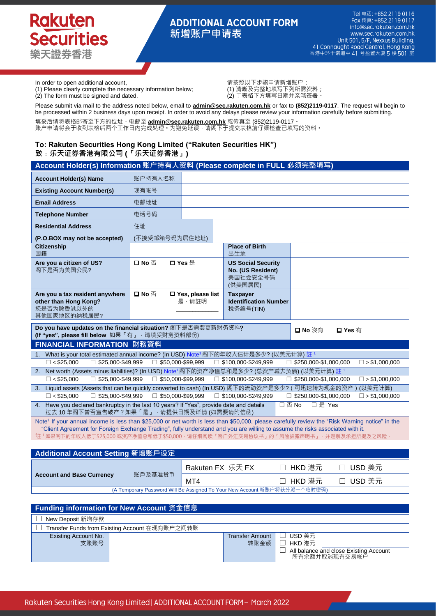## **ADDITIONAL ACCOUNT FORM 新增账户申请表**

In order to open additional account,<br>(1) Please clearly complete the necessary information below; (1) 清晰及完整地填写下列所需资料 (1) Please clearly complete the necessary information below; (1) 清晰及完整地填写下列所需资料;<br>(2) The form must be signed and dated. (2) 于表格下方填写日期并亲笔签署。  $(2)$  The form must be signed and dated.

Please submit via mail to the address noted below, email to **admin@sec.rakuten.com.hk** or fax to **(852)2119-0117**. The request will begin to be processed within 2 business days upon receipt. In order to avoid any delays please review your information carefully before submitting.

填妥后请将表格邮寄至下方的位址、电邮至 **admin@sec.rakuten.com.hk** 或传真至 (852)2119-0117。 账户申请将会于收到表格后两个工作日内完成处理。为避免延误﹐请阁下于提交表格前仔细检查已填写的资料。

### **To: Rakuten Securities Hong Kong Limited ("Rakuten Securities HK") 致﹕乐天证券香港有限公司 (「乐天证券香港」)**

| Account Holder(s) Information 账户持有人资料 (Please complete in FULL 必须完整填写)                                                                                                                                                                                                        |                |                                     |                                                                       |  |  |
|-------------------------------------------------------------------------------------------------------------------------------------------------------------------------------------------------------------------------------------------------------------------------------|----------------|-------------------------------------|-----------------------------------------------------------------------|--|--|
| <b>Account Holder(s) Name</b>                                                                                                                                                                                                                                                 | 账户持有人名称        |                                     |                                                                       |  |  |
| <b>Existing Account Number(s)</b>                                                                                                                                                                                                                                             | 现有帐号           |                                     |                                                                       |  |  |
| <b>Email Address</b>                                                                                                                                                                                                                                                          | 电邮地址           |                                     |                                                                       |  |  |
| <b>Telephone Number</b>                                                                                                                                                                                                                                                       | 电话号码           |                                     |                                                                       |  |  |
| <b>Residential Address</b>                                                                                                                                                                                                                                                    | 住址             |                                     |                                                                       |  |  |
| (P.O.BOX may not be accepted)                                                                                                                                                                                                                                                 | (不接受邮箱号码为居住地址) |                                     |                                                                       |  |  |
| <b>Citizenship</b><br>国籍                                                                                                                                                                                                                                                      |                |                                     | <b>Place of Birth</b><br>出生地                                          |  |  |
| Are you a citizen of US?<br>阁下是否为美国公民?                                                                                                                                                                                                                                        | 口 No 否         | 口 Yes 是                             | <b>US Social Security</b><br>No. (US Resident)<br>美国社会安全号码<br>(供美国居民) |  |  |
| Are you a tax resident anywhere<br>other than Hong Kong?<br>您是否为除香港以外的<br>其他国家地区的纳税居民?                                                                                                                                                                                        | 口No 否          | $\square$ Yes, please list<br>是·请註明 | <b>Taxpayer</b><br><b>Identification Number</b><br>税务编号(TIN)          |  |  |
| Do you have updates on the financial situation? 阁下是否需要更新财务资料?<br>口 No 沒有<br>$\square$ Yes $\bar{\equiv}$<br>(If "yes", please fill below 如果「有」, 请填妥财务资料部份)                                                                                                                    |                |                                     |                                                                       |  |  |
| FINANCIAL INFORMATION 財務資料                                                                                                                                                                                                                                                    |                |                                     |                                                                       |  |  |
| What is your total estimated annual income? (In USD) Note <sup>1</sup> 阁下的年收入估计是多少? (以美元计算) 註 <sup>1</sup><br>1 <sub>1</sub>                                                                                                                                                  |                |                                     |                                                                       |  |  |
| $\Box$ < \$25,000<br>$\Box$ \$50,000-\$99,999<br>$\Box$ \$25,000-\$49,999<br>$\Box$ \$100,000-\$249,999<br>$\Box$ \$250,000-\$1,000,000<br>$\Box$ > \$1,000,000<br>Net worth (Assets minus liabilities)? (In USD) Note <sup>1</sup> 阁下的资产净值总和是多少? (总资产减去负债) (以美元计算) 註 1<br>2. |                |                                     |                                                                       |  |  |
| $\Box$ < \$25,000<br>$\Box$ \$25,000-\$49,999<br>$\Box$ \$50,000-\$99,999<br>$\Box$ \$250,000-\$1,000,000<br>$\Box$ > \$1,000,000<br>$\Box$ \$100,000-\$249,999                                                                                                               |                |                                     |                                                                       |  |  |
| Liquid assets (Assets that can be quickly converted to cash) (In USD) 阁下的流动资产是多少? (可迅速转为现金的资产)<br>(以美元计算)<br>3.                                                                                                                                                               |                |                                     |                                                                       |  |  |
| $\Box$ < \$25.000<br>$\Box$ \$25.000-\$49.999<br>$\Box$ \$50.000-\$99.999<br>$\Box$ \$100,000-\$249,999<br>$\Box$ \$250,000-\$1,000,000<br>$\Box$ > \$1,000,000                                                                                                               |                |                                     |                                                                       |  |  |
| □否No<br>□ 是 Yes<br>Have you declared bankruptcy in the last 10 years? If "Yes", provide date and details<br>4.<br>过去 10年阁下曾否宣告破产?如果「是」,请提供日期及详情 (如需要请附信函)                                                                                                                     |                |                                     |                                                                       |  |  |
| Note <sup>1</sup> If your annual income is less than \$25,000 or net worth is less than \$50,000, please carefully review the "Risk Warning notice" in the                                                                                                                    |                |                                     |                                                                       |  |  |

If your annual income is less than \$25,000 or net worth is less than \$50,000, please carefully review the "Risk Warning notice" in the "Client Agreement for Foreign Exchange Trading", fully understand and you are willing to assume the risks associated with it. 註 <sup>1</sup>如果阁下的年收入低于\$25,000 或资产净值总和低于\$50,000 ⋅ 请仔细阅读「客户外汇交易协议书」的「风险披露声明书」 ⋅ 并理解及承担所提及之风险

| Additional Account Setting 新增账戶设定                                         |         |                  |          |          |  |
|---------------------------------------------------------------------------|---------|------------------|----------|----------|--|
| <b>Account and Base Currency</b>                                          | 账戶及基准货币 | Rakuten FX 乐天 FX | □ HKD 港元 | □ USD 美元 |  |
|                                                                           |         | MT4              | □ HKD 港元 | □ USD 美元 |  |
| (A Temporary Password Will Be Assigned To Your New Account 新账户将获分派一个临时密码) |         |                  |          |          |  |

| <b>Funding information for New Account 资金信息</b> |                        |                                                         |  |  |  |  |
|-------------------------------------------------|------------------------|---------------------------------------------------------|--|--|--|--|
| New Deposit 新增存款                                |                        |                                                         |  |  |  |  |
| Transfer Funds from Existing Account 在现有账户之间转账  |                        |                                                         |  |  |  |  |
| Existing Account No.                            | <b>Transfer Amount</b> | USD 美元                                                  |  |  |  |  |
| 支账账号                                            | 转账金额                   | HKD 港元                                                  |  |  |  |  |
|                                                 |                        | All balance and close Existing Account<br>所有余额并取消现有交易帐户 |  |  |  |  |